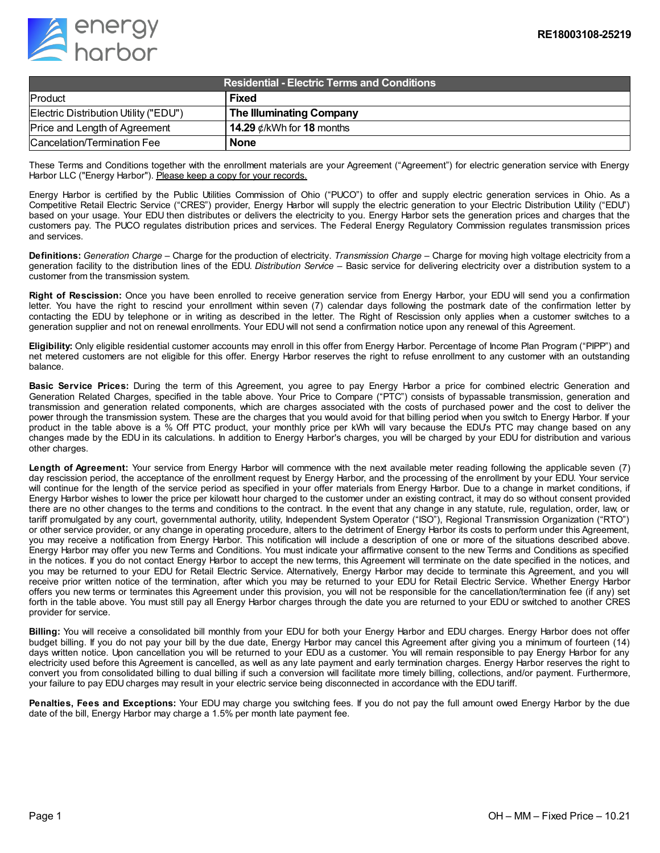

| <b>Residential - Electric Terms and Conditions</b> |                                 |
|----------------------------------------------------|---------------------------------|
| Product                                            | <b>Fixed</b>                    |
| Electric Distribution Utility ("EDU")              | <b>The Illuminating Company</b> |
| Price and Length of Agreement                      | 14.29 $\ell$ /kWh for 18 months |
| Cancelation/Termination Fee                        | <b>None</b>                     |

These Terms and Conditions together with the enrollment materials are your Agreement ("Agreement") for electric generation service with Energy Harbor LLC ("Energy Harbor"). Please keep a copy for your records.

Energy Harbor is certified by the Public Utilities Commission of Ohio ("PUCO") to offer and supply electric generation services in Ohio. As a Competitive Retail Electric Service ("CRES") provider, Energy Harbor will supply the electric generation to your Electric Distribution Utility ("EDU") based on your usage. Your EDU then distributes or delivers the electricity to you. Energy Harbor sets the generation prices and charges that the customers pay. The PUCO regulates distribution prices and services. The Federal Energy Regulatory Commission regulates transmission prices and services.

**Definitions:** *Generation Charge* – Charge for the production of electricity. *Transmission Charge* – Charge for moving high voltage electricity from a generation facility to the distribution lines of the EDU. *Distribution Service* – Basic service for delivering electricity over a distribution system to a customer from the transmission system.

**Right of Rescission:** Once you have been enrolled to receive generation service from Energy Harbor, your EDU will send you a confirmation letter. You have the right to rescind your enrollment within seven (7) calendar days following the postmark date of the confirmation letter by contacting the EDU by telephone or in writing as described in the letter. The Right of Rescission only applies when a customer switches to a generation supplier and not on renewal enrollments. Your EDU will not send a confirmation notice upon any renewal of this Agreement.

**Eligibility:** Only eligible residential customer accounts may enroll in this offer from Energy Harbor. Percentage of Income Plan Program ("PIPP") and net metered customers are not eligible for this offer. Energy Harbor reserves the right to refuse enrollment to any customer with an outstanding balance.

**Basic Service Prices:** During the term of this Agreement, you agree to pay Energy Harbor a price for combined electric Generation and Generation Related Charges, specified in the table above. Your Price to Compare ("PTC") consists of bypassable transmission, generation and transmission and generation related components, which are charges associated with the costs of purchased power and the cost to deliver the power through the transmission system. These are the charges that you would avoid for that billing period when you switch to Energy Harbor. If your product in the table above is a % Off PTC product, your monthly price per kWh will vary because the EDU's PTC may change based on any changes made by the EDU in its calculations. In addition to Energy Harbor's charges, you will be charged by your EDU for distribution and various other charges.

**Length of Agreement:** Your service from Energy Harbor will commence with the next available meter reading following the applicable seven (7) day rescission period, the acceptance of the enrollment request by Energy Harbor, and the processing of the enrollment by your EDU. Your service will continue for the length of the service period as specified in your offer materials from Energy Harbor. Due to a change in market conditions, if Energy Harbor wishes to lower the price per kilowatt hour charged to the customer under an existing contract, it may do so without consent provided there are no other changes to the terms and conditions to the contract. In the event that any change in any statute, rule, regulation, order, law, or tariff promulgated by any court, governmental authority, utility, Independent System Operator ("ISO"), Regional Transmission Organization ("RTO") or other service provider, or any change in operating procedure, alters to the detriment of Energy Harbor its costs to perform under this Agreement, you may receive a notification from Energy Harbor. This notification will include a description of one or more of the situations described above. Energy Harbor may offer you new Terms and Conditions. You must indicate your affirmative consent to the new Terms and Conditions as specified in the notices. If you do not contact Energy Harbor to accept the new terms, this Agreement will terminate on the date specified in the notices, and you may be returned to your EDU for Retail Electric Service. Alternatively, Energy Harbor may decide to terminate this Agreement, and you will receive prior written notice of the termination, after which you may be returned to your EDU for Retail Electric Service. Whether Energy Harbor offers you new terms or terminates this Agreement under this provision, you will not be responsible for the cancellation/termination fee (if any) set forth in the table above. You must still pay all Energy Harbor charges through the date you are returned to your EDU or switched to another CRES provider for service.

**Billing:** You will receive a consolidated bill monthly from your EDU for both your Energy Harbor and EDU charges. Energy Harbor does not offer budget billing. If you do not pay your bill by the due date, Energy Harbor may cancel this Agreement after giving you a minimum of fourteen (14) days written notice. Upon cancellation you will be returned to your EDU as a customer. You will remain responsible to pay Energy Harbor for any electricity used before this Agreement is cancelled, as well as any late payment and early termination charges. Energy Harbor reserves the right to convert you from consolidated billing to dual billing if such a conversion will facilitate more timely billing, collections, and/or payment. Furthermore, your failure to pay EDU charges may result in your electric service being disconnected in accordance with the EDU tariff.

**Penalties, Fees and Exceptions:** Your EDU may charge you switching fees. If you do not pay the full amount owed Energy Harbor by the due date of the bill, Energy Harbor may charge a 1.5% per month late payment fee.